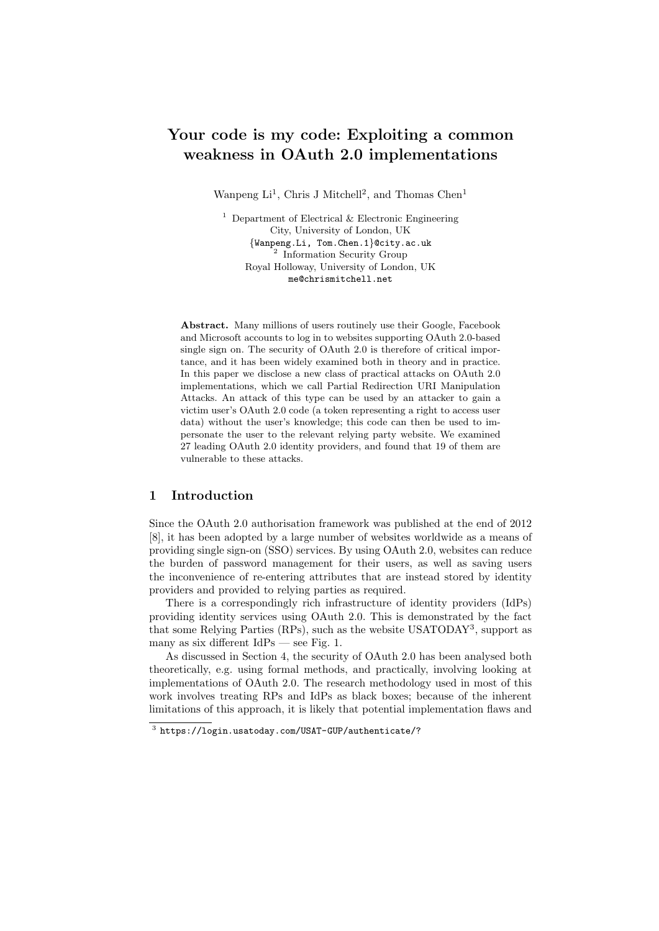# Your code is my code: Exploiting a common weakness in OAuth 2.0 implementations

Wanpeng  $Li<sup>1</sup>$ , Chris J Mitchell<sup>2</sup>, and Thomas Chen<sup>1</sup>

<sup>1</sup> Department of Electrical  $\&$  Electronic Engineering City, University of London, UK {Wanpeng.Li, Tom.Chen.1}@city.ac.uk 2 Information Security Group Royal Holloway, University of London, UK me@chrismitchell.net

Abstract. Many millions of users routinely use their Google, Facebook and Microsoft accounts to log in to websites supporting OAuth 2.0-based single sign on. The security of OAuth 2.0 is therefore of critical importance, and it has been widely examined both in theory and in practice. In this paper we disclose a new class of practical attacks on OAuth 2.0 implementations, which we call Partial Redirection URI Manipulation Attacks. An attack of this type can be used by an attacker to gain a victim user's OAuth 2.0 code (a token representing a right to access user data) without the user's knowledge; this code can then be used to impersonate the user to the relevant relying party website. We examined 27 leading OAuth 2.0 identity providers, and found that 19 of them are vulnerable to these attacks.

### 1 Introduction

Since the OAuth 2.0 authorisation framework was published at the end of 2012 [8], it has been adopted by a large number of websites worldwide as a means of providing single sign-on (SSO) services. By using OAuth 2.0, websites can reduce the burden of password management for their users, as well as saving users the inconvenience of re-entering attributes that are instead stored by identity providers and provided to relying parties as required.

There is a correspondingly rich infrastructure of identity providers (IdPs) providing identity services using OAuth 2.0. This is demonstrated by the fact that some Relying Parties (RPs), such as the website USATODAY<sup>3</sup> , support as many as six different  $IdPs$  — see Fig. 1.

As discussed in Section 4, the security of OAuth 2.0 has been analysed both theoretically, e.g. using formal methods, and practically, involving looking at implementations of OAuth 2.0. The research methodology used in most of this work involves treating RPs and IdPs as black boxes; because of the inherent limitations of this approach, it is likely that potential implementation flaws and

 $^3$  https://login.usatoday.com/USAT-GUP/authenticate/?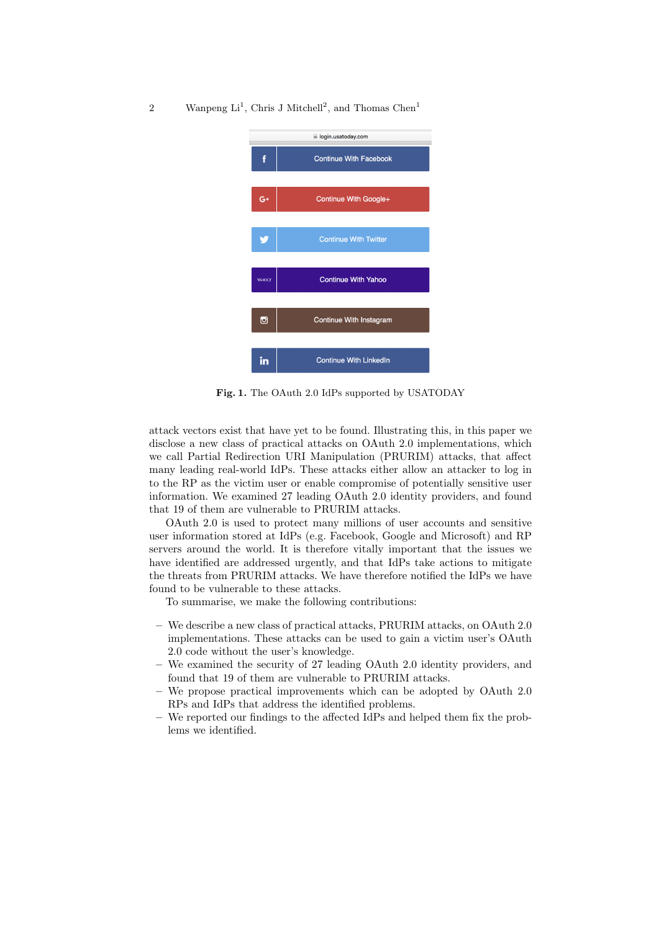

Fig. 1. The OAuth 2.0 IdPs supported by USATODAY

attack vectors exist that have yet to be found. Illustrating this, in this paper we disclose a new class of practical attacks on OAuth 2.0 implementations, which we call Partial Redirection URI Manipulation (PRURIM) attacks, that affect many leading real-world IdPs. These attacks either allow an attacker to log in to the RP as the victim user or enable compromise of potentially sensitive user information. We examined 27 leading OAuth 2.0 identity providers, and found that 19 of them are vulnerable to PRURIM attacks.

OAuth 2.0 is used to protect many millions of user accounts and sensitive user information stored at IdPs (e.g. Facebook, Google and Microsoft) and RP servers around the world. It is therefore vitally important that the issues we have identified are addressed urgently, and that IdPs take actions to mitigate the threats from PRURIM attacks. We have therefore notified the IdPs we have found to be vulnerable to these attacks.

To summarise, we make the following contributions:

- We describe a new class of practical attacks, PRURIM attacks, on OAuth 2.0 implementations. These attacks can be used to gain a victim user's OAuth 2.0 code without the user's knowledge.
- We examined the security of 27 leading OAuth 2.0 identity providers, and found that 19 of them are vulnerable to PRURIM attacks.
- We propose practical improvements which can be adopted by OAuth 2.0 RPs and IdPs that address the identified problems.
- We reported our findings to the affected IdPs and helped them fix the problems we identified.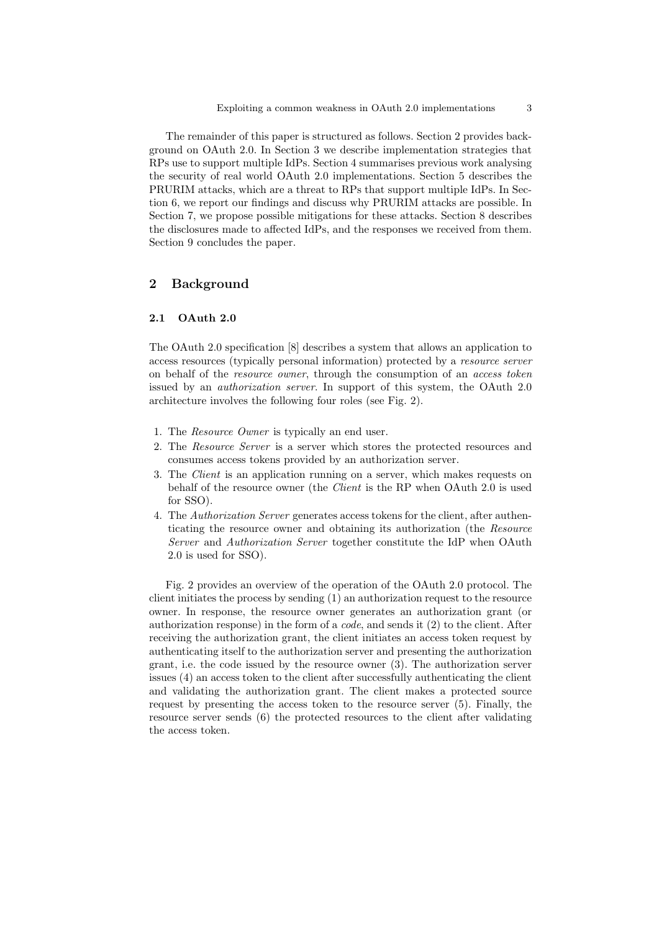The remainder of this paper is structured as follows. Section 2 provides background on OAuth 2.0. In Section 3 we describe implementation strategies that RPs use to support multiple IdPs. Section 4 summarises previous work analysing the security of real world OAuth 2.0 implementations. Section 5 describes the PRURIM attacks, which are a threat to RPs that support multiple IdPs. In Section 6, we report our findings and discuss why PRURIM attacks are possible. In Section 7, we propose possible mitigations for these attacks. Section 8 describes the disclosures made to affected IdPs, and the responses we received from them. Section 9 concludes the paper.

# 2 Background

#### 2.1 OAuth 2.0

The OAuth 2.0 specification [8] describes a system that allows an application to access resources (typically personal information) protected by a resource server on behalf of the resource owner, through the consumption of an access token issued by an authorization server. In support of this system, the OAuth 2.0 architecture involves the following four roles (see Fig. 2).

- 1. The Resource Owner is typically an end user.
- 2. The Resource Server is a server which stores the protected resources and consumes access tokens provided by an authorization server.
- 3. The Client is an application running on a server, which makes requests on behalf of the resource owner (the *Client* is the RP when OAuth 2.0 is used for SSO).
- 4. The Authorization Server generates access tokens for the client, after authenticating the resource owner and obtaining its authorization (the Resource Server and Authorization Server together constitute the IdP when OAuth 2.0 is used for SSO).

Fig. 2 provides an overview of the operation of the OAuth 2.0 protocol. The client initiates the process by sending (1) an authorization request to the resource owner. In response, the resource owner generates an authorization grant (or authorization response) in the form of a code, and sends it (2) to the client. After receiving the authorization grant, the client initiates an access token request by authenticating itself to the authorization server and presenting the authorization grant, i.e. the code issued by the resource owner (3). The authorization server issues (4) an access token to the client after successfully authenticating the client and validating the authorization grant. The client makes a protected source request by presenting the access token to the resource server (5). Finally, the resource server sends (6) the protected resources to the client after validating the access token.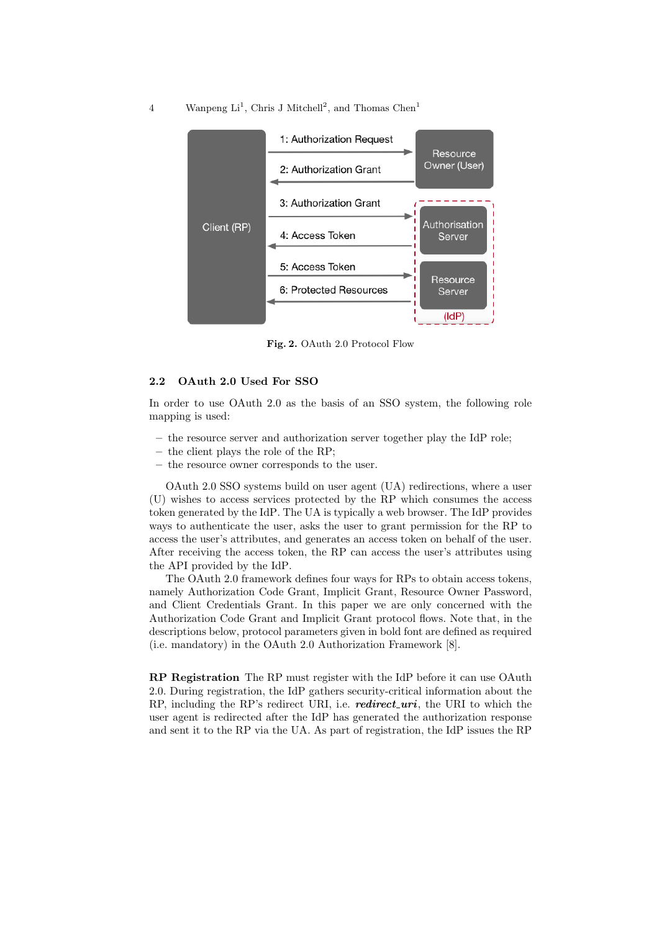

Fig. 2. OAuth 2.0 Protocol Flow

#### 2.2 OAuth 2.0 Used For SSO

In order to use OAuth 2.0 as the basis of an SSO system, the following role mapping is used:

- the resource server and authorization server together play the IdP role;
- the client plays the role of the RP;
- the resource owner corresponds to the user.

OAuth 2.0 SSO systems build on user agent (UA) redirections, where a user (U) wishes to access services protected by the RP which consumes the access token generated by the IdP. The UA is typically a web browser. The IdP provides ways to authenticate the user, asks the user to grant permission for the RP to access the user's attributes, and generates an access token on behalf of the user. After receiving the access token, the RP can access the user's attributes using the API provided by the IdP.

The OAuth 2.0 framework defines four ways for RPs to obtain access tokens, namely Authorization Code Grant, Implicit Grant, Resource Owner Password, and Client Credentials Grant. In this paper we are only concerned with the Authorization Code Grant and Implicit Grant protocol flows. Note that, in the descriptions below, protocol parameters given in bold font are defined as required (i.e. mandatory) in the OAuth 2.0 Authorization Framework [8].

RP Registration The RP must register with the IdP before it can use OAuth 2.0. During registration, the IdP gathers security-critical information about the RP, including the RP's redirect URI, i.e. *redirect\_uri*, the URI to which the user agent is redirected after the IdP has generated the authorization response and sent it to the RP via the UA. As part of registration, the IdP issues the RP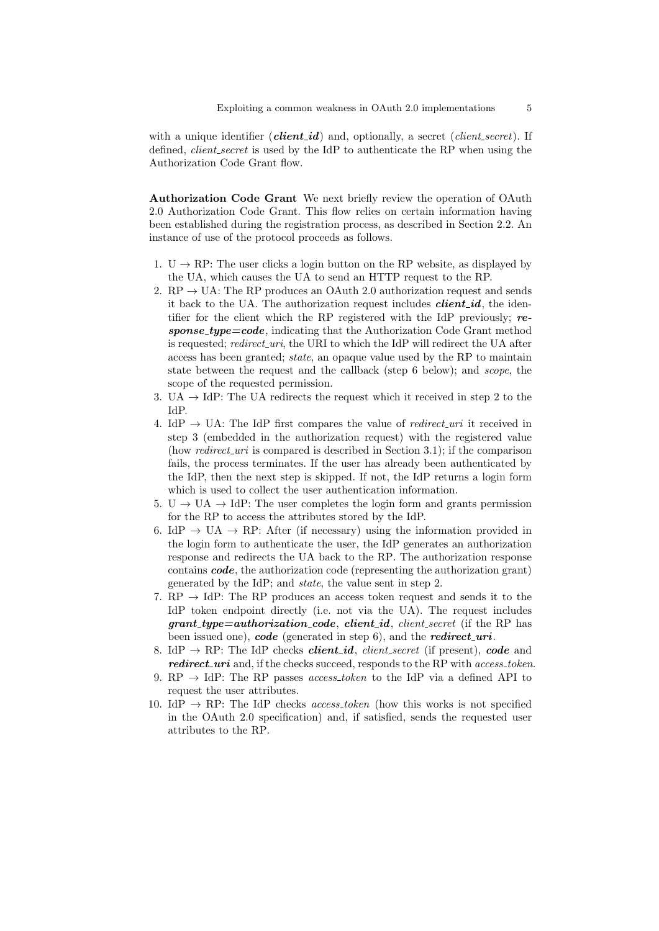with a unique identifier  $(c**client_id**)$  and, optionally, a secret  $(c**lient\_secret**)$ . If defined, *client\_secret* is used by the IdP to authenticate the RP when using the Authorization Code Grant flow.

Authorization Code Grant We next briefly review the operation of OAuth 2.0 Authorization Code Grant. This flow relies on certain information having been established during the registration process, as described in Section 2.2. An instance of use of the protocol proceeds as follows.

- 1. U  $\rightarrow$  RP: The user clicks a login button on the RP website, as displayed by the UA, which causes the UA to send an HTTP request to the RP.
- 2.  $RP \rightarrow UA$ : The RP produces an OAuth 2.0 authorization request and sends it back to the UA. The authorization request includes *client id*, the identifier for the client which the RP registered with the IdP previously; re- $\textit{sparse_type} = \textit{code}$ , indicating that the Authorization Code Grant method is requested; redirect uri, the URI to which the IdP will redirect the UA after access has been granted; state, an opaque value used by the RP to maintain state between the request and the callback (step 6 below); and scope, the scope of the requested permission.
- 3. UA  $\rightarrow$  IdP: The UA redirects the request which it received in step 2 to the IdP.
- 4. IdP  $\rightarrow$  UA: The IdP first compares the value of *redirect\_uri* it received in step 3 (embedded in the authorization request) with the registered value (how *redirect\_uri* is compared is described in Section 3.1); if the comparison fails, the process terminates. If the user has already been authenticated by the IdP, then the next step is skipped. If not, the IdP returns a login form which is used to collect the user authentication information.
- 5. U  $\rightarrow$  UA  $\rightarrow$  IdP: The user completes the login form and grants permission for the RP to access the attributes stored by the IdP.
- 6. IdP  $\rightarrow$  UA  $\rightarrow$  RP: After (if necessary) using the information provided in the login form to authenticate the user, the IdP generates an authorization response and redirects the UA back to the RP. The authorization response contains code, the authorization code (representing the authorization grant) generated by the IdP; and state, the value sent in step 2.
- 7.  $RP \rightarrow \text{IdP: The RP produces an access token request and sends it to the}$ IdP token endpoint directly (i.e. not via the UA). The request includes  $grant_type = authorization\_code, client_id, client\_secret$  (if the RP has been issued one), code (generated in step 6), and the redirect uri.
- 8. IdP  $\rightarrow$  RP: The IdP checks *client\_id, client\_secret* (if present), *code* and redirect uri and, if the checks succeed, responds to the RP with *access token*.
- 9. RP  $\rightarrow$  IdP: The RP passes *access\_token* to the IdP via a defined API to request the user attributes.
- 10. IdP  $\rightarrow$  RP: The IdP checks *access\_token* (how this works is not specified in the OAuth 2.0 specification) and, if satisfied, sends the requested user attributes to the RP.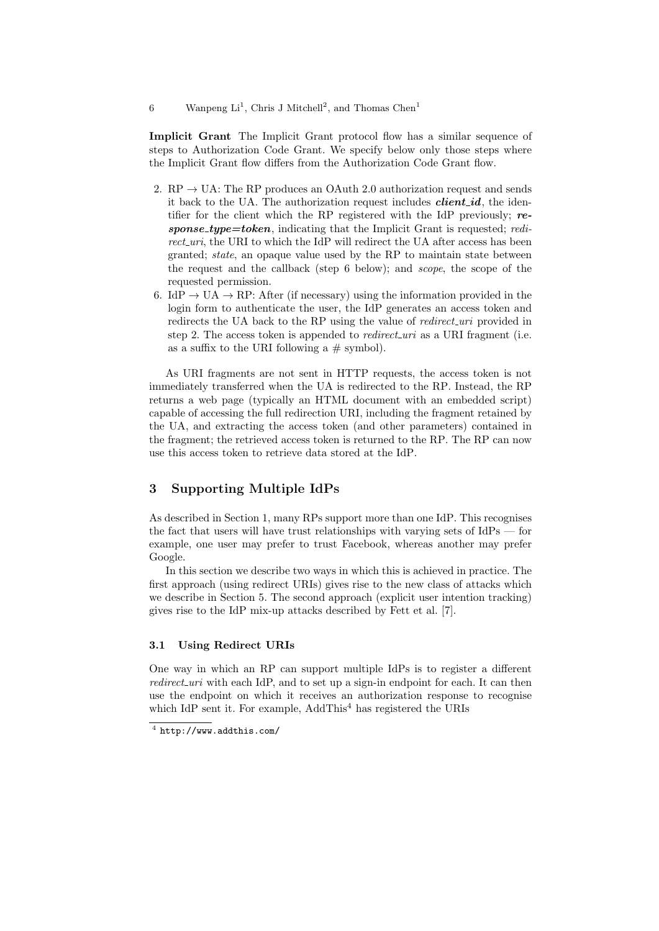Implicit Grant The Implicit Grant protocol flow has a similar sequence of steps to Authorization Code Grant. We specify below only those steps where the Implicit Grant flow differs from the Authorization Code Grant flow.

- 2.  $RP \rightarrow UA$ : The RP produces an OAuth 2.0 authorization request and sends it back to the UA. The authorization request includes  $client\_id$ , the identifier for the client which the RP registered with the IdP previously; response\_type=token, indicating that the Implicit Grant is requested; redirect uri, the URI to which the IdP will redirect the UA after access has been granted; state, an opaque value used by the RP to maintain state between the request and the callback (step 6 below); and scope, the scope of the requested permission.
- 6. IdP  $\rightarrow$  UA  $\rightarrow$  RP: After (if necessary) using the information provided in the login form to authenticate the user, the IdP generates an access token and redirects the UA back to the RP using the value of *redirect\_uri* provided in step 2. The access token is appended to *redirect uri* as a URI fragment (i.e. as a suffix to the URI following a  $\#$  symbol).

As URI fragments are not sent in HTTP requests, the access token is not immediately transferred when the UA is redirected to the RP. Instead, the RP returns a web page (typically an HTML document with an embedded script) capable of accessing the full redirection URI, including the fragment retained by the UA, and extracting the access token (and other parameters) contained in the fragment; the retrieved access token is returned to the RP. The RP can now use this access token to retrieve data stored at the IdP.

# 3 Supporting Multiple IdPs

As described in Section 1, many RPs support more than one IdP. This recognises the fact that users will have trust relationships with varying sets of  $IdPs$  — for example, one user may prefer to trust Facebook, whereas another may prefer Google.

In this section we describe two ways in which this is achieved in practice. The first approach (using redirect URIs) gives rise to the new class of attacks which we describe in Section 5. The second approach (explicit user intention tracking) gives rise to the IdP mix-up attacks described by Fett et al. [7].

## 3.1 Using Redirect URIs

One way in which an RP can support multiple IdPs is to register a different redirect uri with each IdP, and to set up a sign-in endpoint for each. It can then use the endpoint on which it receives an authorization response to recognise which IdP sent it. For example, AddThis<sup>4</sup> has registered the URIs

 $^4$  http://www.addthis.com/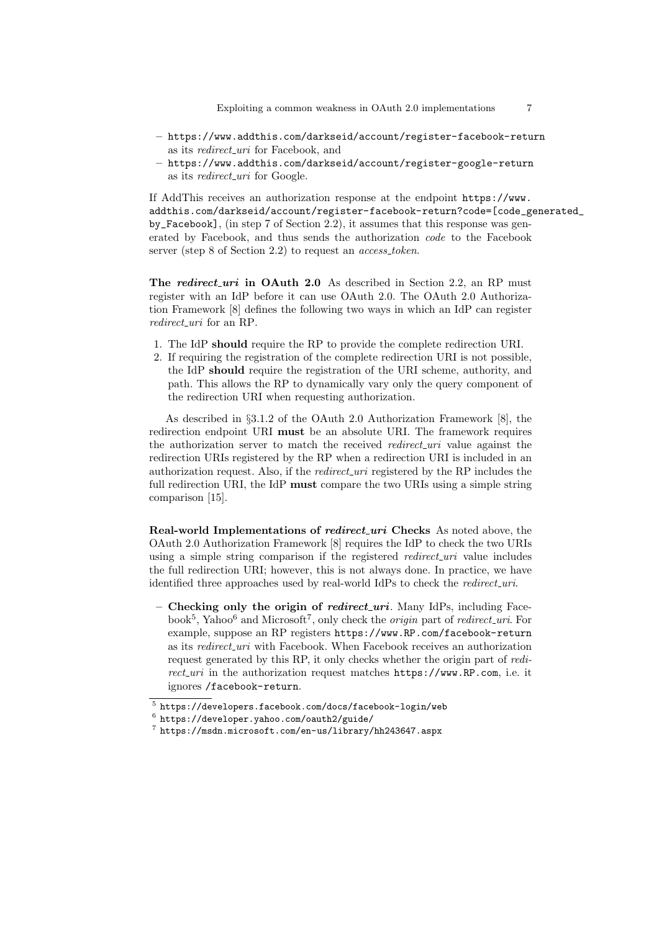Exploiting a common weakness in OAuth 2.0 implementations  $\qquad 7$ 

- https://www.addthis.com/darkseid/account/register-facebook-return as its *redirect\_uri* for Facebook, and
- https://www.addthis.com/darkseid/account/register-google-return as its *redirect\_uri* for Google.

If AddThis receives an authorization response at the endpoint https://www. addthis.com/darkseid/account/register-facebook-return?code=[code\_generated\_ by\_Facebook], (in step 7 of Section 2.2), it assumes that this response was generated by Facebook, and thus sends the authorization code to the Facebook server (step 8 of Section 2.2) to request an *access\_token*.

The *redirect\_uri* in OAuth 2.0 As described in Section 2.2, an RP must register with an IdP before it can use OAuth 2.0. The OAuth 2.0 Authorization Framework [8] defines the following two ways in which an IdP can register redirect\_uri for an RP.

- 1. The IdP should require the RP to provide the complete redirection URI.
- 2. If requiring the registration of the complete redirection URI is not possible, the IdP should require the registration of the URI scheme, authority, and path. This allows the RP to dynamically vary only the query component of the redirection URI when requesting authorization.

As described in §3.1.2 of the OAuth 2.0 Authorization Framework [8], the redirection endpoint URI must be an absolute URI. The framework requires the authorization server to match the received *redirect\_uri* value against the redirection URIs registered by the RP when a redirection URI is included in an authorization request. Also, if the *redirect uri* registered by the RP includes the full redirection URI, the IdP must compare the two URIs using a simple string comparison [15].

Real-world Implementations of redirect uri Checks As noted above, the OAuth 2.0 Authorization Framework [8] requires the IdP to check the two URIs using a simple string comparison if the registered *redirect uni* value includes the full redirection URI; however, this is not always done. In practice, we have identified three approaches used by real-world IdPs to check the *redirect\_uri*.

– Checking only the origin of redirect  $uri$ . Many IdPs, including Facebook<sup>5</sup>, Yahoo<sup>6</sup> and Microsoft<sup>7</sup>, only check the *origin* part of *redirect\_uri*. For example, suppose an RP registers https://www.RP.com/facebook-return as its *redirect\_uri* with Facebook. When Facebook receives an authorization request generated by this RP, it only checks whether the origin part of redirect uri in the authorization request matches https://www.RP.com, i.e. it ignores /facebook-return.

 $^5$ https://developers.facebook.com/docs/facebook-login/web

 $^6$ https://developer.yahoo.com/oauth2/guide/

<sup>7</sup> https://msdn.microsoft.com/en-us/library/hh243647.aspx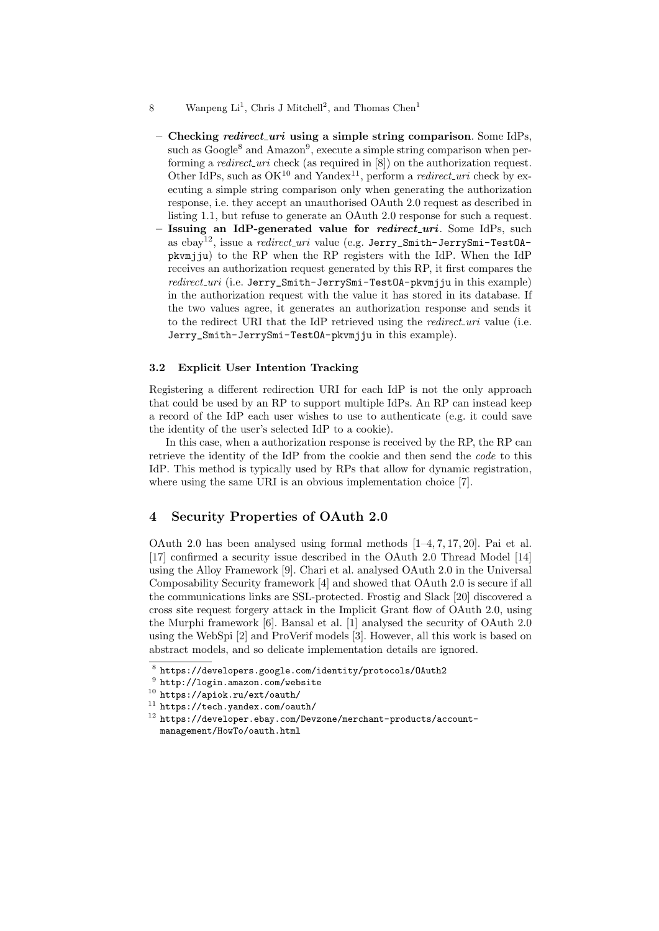- 8 Wanpeng  $Li<sup>1</sup>$ , Chris J Mitchell<sup>2</sup>, and Thomas Chen<sup>1</sup>
- Checking *redirect\_uri* using a simple string comparison. Some IdPs, such as Google<sup>8</sup> and Amazon<sup>9</sup>, execute a simple string comparison when performing a *redirect uri* check (as required in [8]) on the authorization request. Other IdPs, such as  $OK^{10}$  and Yandex<sup>11</sup>, perform a *redirect uri* check by executing a simple string comparison only when generating the authorization response, i.e. they accept an unauthorised OAuth 2.0 request as described in listing 1.1, but refuse to generate an OAuth 2.0 response for such a request.
- Issuing an IdP-generated value for *redirect\_uri*. Some IdPs, such as  $e$ bay<sup>12</sup>, issue a *redirect\_uri* value (e.g. Jerry\_Smith-JerrySmi-TestOApkvmjju) to the RP when the RP registers with the IdP. When the IdP receives an authorization request generated by this RP, it first compares the redirect uri (i.e. Jerry\_Smith-JerrySmi-TestOA-pkvmjju in this example) in the authorization request with the value it has stored in its database. If the two values agree, it generates an authorization response and sends it to the redirect URI that the IdP retrieved using the *redirect\_uri* value (i.e. Jerry\_Smith-JerrySmi-TestOA-pkvmjju in this example).

### 3.2 Explicit User Intention Tracking

Registering a different redirection URI for each IdP is not the only approach that could be used by an RP to support multiple IdPs. An RP can instead keep a record of the IdP each user wishes to use to authenticate (e.g. it could save the identity of the user's selected IdP to a cookie).

In this case, when a authorization response is received by the RP, the RP can retrieve the identity of the IdP from the cookie and then send the code to this IdP. This method is typically used by RPs that allow for dynamic registration, where using the same URI is an obvious implementation choice [7].

# 4 Security Properties of OAuth 2.0

OAuth 2.0 has been analysed using formal methods  $[1-4, 7, 17, 20]$ . Pai et al. [17] confirmed a security issue described in the OAuth 2.0 Thread Model [14] using the Alloy Framework [9]. Chari et al. analysed OAuth 2.0 in the Universal Composability Security framework [4] and showed that OAuth 2.0 is secure if all the communications links are SSL-protected. Frostig and Slack [20] discovered a cross site request forgery attack in the Implicit Grant flow of OAuth 2.0, using the Murphi framework [6]. Bansal et al. [1] analysed the security of OAuth 2.0 using the WebSpi [2] and ProVerif models [3]. However, all this work is based on abstract models, and so delicate implementation details are ignored.

 $^8$ https://developers.google.com/identity/protocols/OAuth2

 $^9$  http://login.amazon.com/website

<sup>10</sup> https://apiok.ru/ext/oauth/

<sup>11</sup> https://tech.yandex.com/oauth/

<sup>12</sup> https://developer.ebay.com/Devzone/merchant-products/accountmanagement/HowTo/oauth.html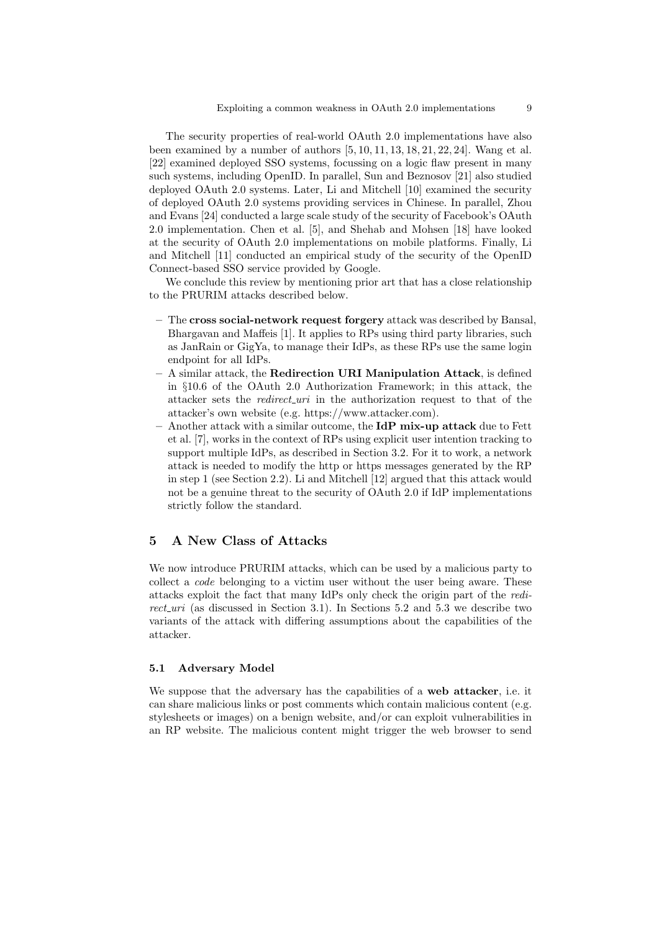The security properties of real-world OAuth 2.0 implementations have also been examined by a number of authors [5, 10, 11, 13, 18, 21, 22, 24]. Wang et al. [22] examined deployed SSO systems, focussing on a logic flaw present in many such systems, including OpenID. In parallel, Sun and Beznosov [21] also studied deployed OAuth 2.0 systems. Later, Li and Mitchell [10] examined the security of deployed OAuth 2.0 systems providing services in Chinese. In parallel, Zhou and Evans [24] conducted a large scale study of the security of Facebook's OAuth 2.0 implementation. Chen et al. [5], and Shehab and Mohsen [18] have looked at the security of OAuth 2.0 implementations on mobile platforms. Finally, Li and Mitchell [11] conducted an empirical study of the security of the OpenID Connect-based SSO service provided by Google.

We conclude this review by mentioning prior art that has a close relationship to the PRURIM attacks described below.

- The cross social-network request forgery attack was described by Bansal, Bhargavan and Maffeis [1]. It applies to RPs using third party libraries, such as JanRain or GigYa, to manage their IdPs, as these RPs use the same login endpoint for all IdPs.
- $-$  A similar attack, the **Redirection URI Manipulation Attack**, is defined in §10.6 of the OAuth 2.0 Authorization Framework; in this attack, the attacker sets the *redirect\_uri* in the authorization request to that of the attacker's own website (e.g. https://www.attacker.com).
- $-$  Another attack with a similar outcome, the IdP mix-up attack due to Fett et al. [7], works in the context of RPs using explicit user intention tracking to support multiple IdPs, as described in Section 3.2. For it to work, a network attack is needed to modify the http or https messages generated by the RP in step 1 (see Section 2.2). Li and Mitchell [12] argued that this attack would not be a genuine threat to the security of OAuth 2.0 if IdP implementations strictly follow the standard.

# 5 A New Class of Attacks

We now introduce PRURIM attacks, which can be used by a malicious party to collect a code belonging to a victim user without the user being aware. These attacks exploit the fact that many IdPs only check the origin part of the redirect uri (as discussed in Section 3.1). In Sections 5.2 and 5.3 we describe two variants of the attack with differing assumptions about the capabilities of the attacker.

#### 5.1 Adversary Model

We suppose that the adversary has the capabilities of a **web attacker**, i.e. it can share malicious links or post comments which contain malicious content (e.g. stylesheets or images) on a benign website, and/or can exploit vulnerabilities in an RP website. The malicious content might trigger the web browser to send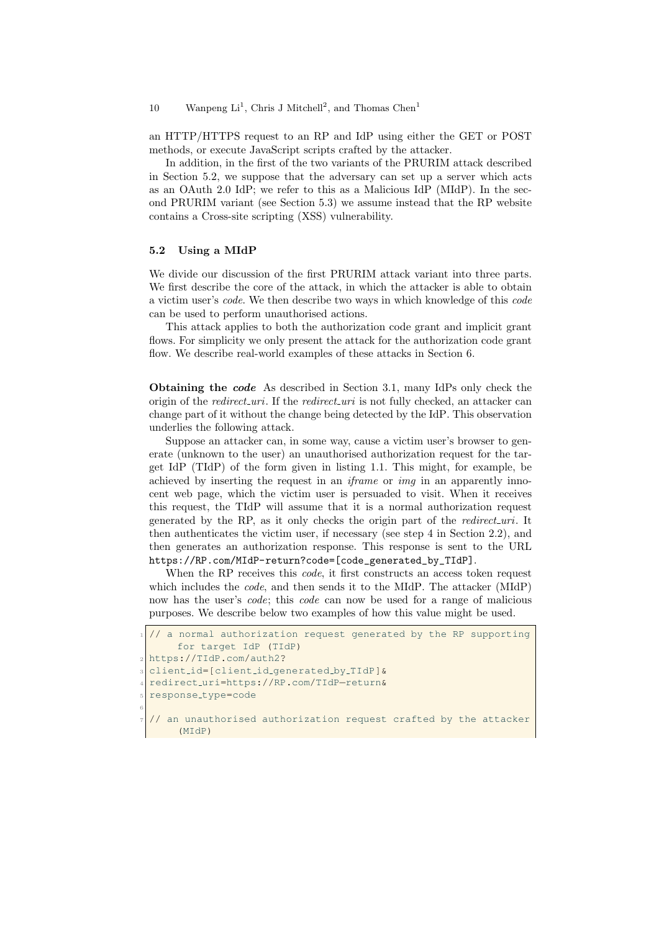an HTTP/HTTPS request to an RP and IdP using either the GET or POST methods, or execute JavaScript scripts crafted by the attacker.

In addition, in the first of the two variants of the PRURIM attack described in Section 5.2, we suppose that the adversary can set up a server which acts as an OAuth 2.0 IdP; we refer to this as a Malicious IdP (MIdP). In the second PRURIM variant (see Section 5.3) we assume instead that the RP website contains a Cross-site scripting (XSS) vulnerability.

#### 5.2 Using a MIdP

We divide our discussion of the first PRURIM attack variant into three parts. We first describe the core of the attack, in which the attacker is able to obtain a victim user's code. We then describe two ways in which knowledge of this code can be used to perform unauthorised actions.

This attack applies to both the authorization code grant and implicit grant flows. For simplicity we only present the attack for the authorization code grant flow. We describe real-world examples of these attacks in Section 6.

Obtaining the code As described in Section 3.1, many IdPs only check the origin of the *redirect\_uri*. If the *redirect\_uri* is not fully checked, an attacker can change part of it without the change being detected by the IdP. This observation underlies the following attack.

Suppose an attacker can, in some way, cause a victim user's browser to generate (unknown to the user) an unauthorised authorization request for the target IdP (TIdP) of the form given in listing 1.1. This might, for example, be achieved by inserting the request in an iframe or img in an apparently innocent web page, which the victim user is persuaded to visit. When it receives this request, the TIdP will assume that it is a normal authorization request generated by the RP, as it only checks the origin part of the *redirect uri*. It then authenticates the victim user, if necessary (see step 4 in Section 2.2), and then generates an authorization response. This response is sent to the URL https://RP.com/MIdP-return?code=[code\_generated\_by\_TIdP].

When the RP receives this *code*, it first constructs an access token request which includes the *code*, and then sends it to the MIdP. The attacker (MIdP) now has the user's code; this code can now be used for a range of malicious purposes. We describe below two examples of how this value might be used.

```
a normal authorization request generated by the RP supporting
      for target IdP (TIdP)
 2 https://TIdP.com/auth2?
 3 client id=[client id generated by TIdP]&
 4 redirect uri=https://RP.com/TIdP−return&
 response_type=code
6
    an unauthorised authorization request crafted by the attacker
      (MIdP)
```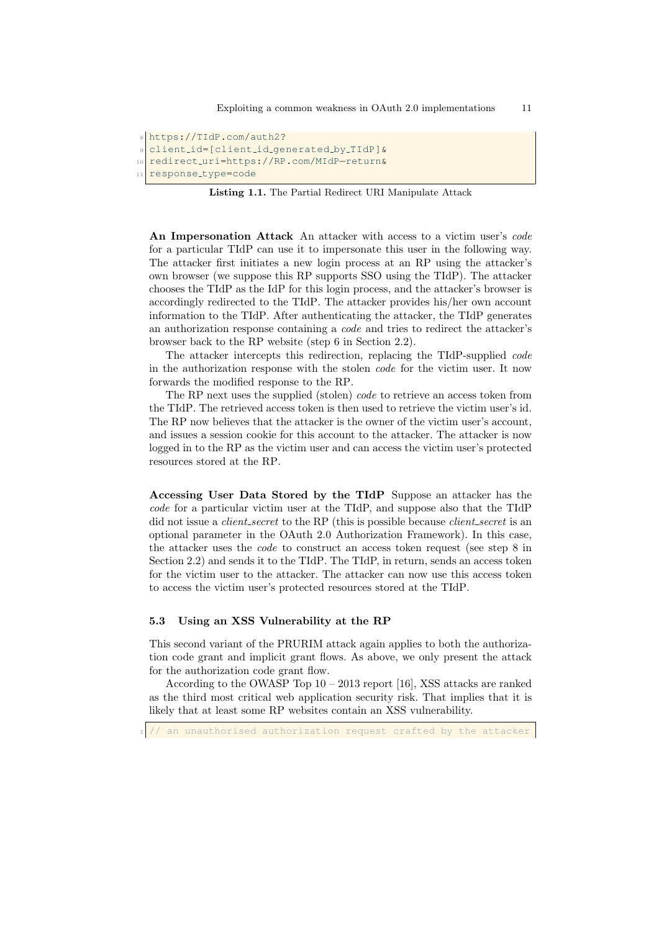```
8 https://TIdP.com/auth2?
```

```
9 client id=[client id generated by TIdP]&
```
<sup>10</sup> redirect uri=https://RP.com/MIdP−return&

```
11 response_type=code
```
Listing 1.1. The Partial Redirect URI Manipulate Attack

An Impersonation Attack An attacker with access to a victim user's code for a particular TIdP can use it to impersonate this user in the following way. The attacker first initiates a new login process at an RP using the attacker's own browser (we suppose this RP supports SSO using the TIdP). The attacker chooses the TIdP as the IdP for this login process, and the attacker's browser is accordingly redirected to the TIdP. The attacker provides his/her own account information to the TIdP. After authenticating the attacker, the TIdP generates an authorization response containing a code and tries to redirect the attacker's browser back to the RP website (step 6 in Section 2.2).

The attacker intercepts this redirection, replacing the TIdP-supplied code in the authorization response with the stolen code for the victim user. It now forwards the modified response to the RP.

The RP next uses the supplied (stolen) code to retrieve an access token from the TIdP. The retrieved access token is then used to retrieve the victim user's id. The RP now believes that the attacker is the owner of the victim user's account, and issues a session cookie for this account to the attacker. The attacker is now logged in to the RP as the victim user and can access the victim user's protected resources stored at the RP.

Accessing User Data Stored by the TIdP Suppose an attacker has the code for a particular victim user at the TIdP, and suppose also that the TIdP did not issue a *client secret* to the RP (this is possible because *client secret* is an optional parameter in the OAuth 2.0 Authorization Framework). In this case, the attacker uses the code to construct an access token request (see step 8 in Section 2.2) and sends it to the TIdP. The TIdP, in return, sends an access token for the victim user to the attacker. The attacker can now use this access token to access the victim user's protected resources stored at the TIdP.

## 5.3 Using an XSS Vulnerability at the RP

This second variant of the PRURIM attack again applies to both the authorization code grant and implicit grant flows. As above, we only present the attack for the authorization code grant flow.

According to the OWASP Top 10 – 2013 report [16], XSS attacks are ranked as the third most critical web application security risk. That implies that it is likely that at least some RP websites contain an XSS vulnerability.

 $_1$ // an unauthorised authorization request crafted by the attacker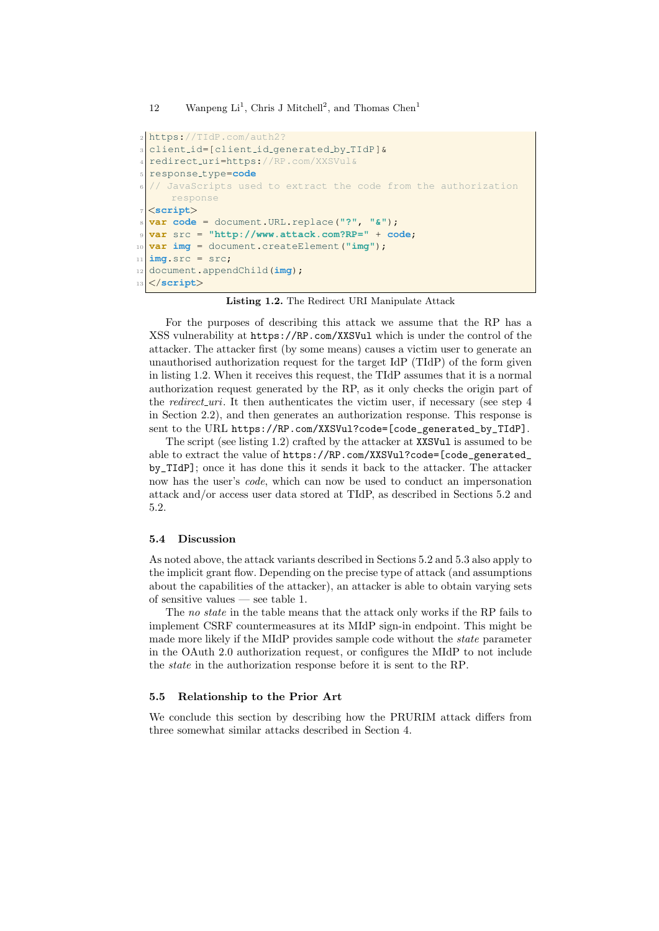```
2 https://TIdP.com/auth2?
  3 client id=[client id generated by TIdP]&
  4 redirect uri=https://RP.com/XXSVul&
  5 response type=code
     JavaScripts used to extract the code from the authorization
      response
  7 <script>
  8 var code = document.URL.replace("?", "&");
  9 var src = "http://www.attack.com?RP=" + code;
10 var img = document.createElement("img");
_{11} img. src = src;12 document.appendChild(img);
13 </script>
```
Listing 1.2. The Redirect URI Manipulate Attack

For the purposes of describing this attack we assume that the RP has a XSS vulnerability at https://RP.com/XXSVul which is under the control of the attacker. The attacker first (by some means) causes a victim user to generate an unauthorised authorization request for the target IdP (TIdP) of the form given in listing 1.2. When it receives this request, the TIdP assumes that it is a normal authorization request generated by the RP, as it only checks the origin part of the redirect uri. It then authenticates the victim user, if necessary (see step  $4$ in Section 2.2), and then generates an authorization response. This response is sent to the URL https://RP.com/XXSVul?code=[code\_generated\_by\_TIdP].

The script (see listing 1.2) crafted by the attacker at XXSVul is assumed to be able to extract the value of https://RP.com/XXSVul?code=[code\_generated\_ by\_TIdP]; once it has done this it sends it back to the attacker. The attacker now has the user's code, which can now be used to conduct an impersonation attack and/or access user data stored at TIdP, as described in Sections 5.2 and 5.2.

#### 5.4 Discussion

As noted above, the attack variants described in Sections 5.2 and 5.3 also apply to the implicit grant flow. Depending on the precise type of attack (and assumptions about the capabilities of the attacker), an attacker is able to obtain varying sets of sensitive values — see table 1.

The no state in the table means that the attack only works if the RP fails to implement CSRF countermeasures at its MIdP sign-in endpoint. This might be made more likely if the MIdP provides sample code without the state parameter in the OAuth 2.0 authorization request, or configures the MIdP to not include the state in the authorization response before it is sent to the RP.

#### 5.5 Relationship to the Prior Art

We conclude this section by describing how the PRURIM attack differs from three somewhat similar attacks described in Section 4.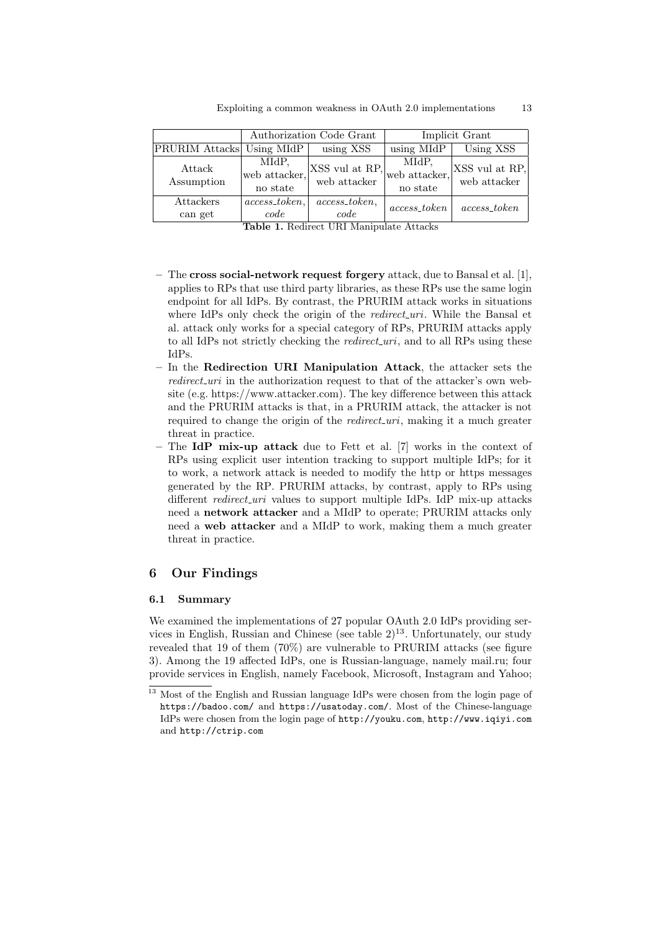|                           | Authorization Code Grant                  |                                                              | Implicit Grant                     |                                |
|---------------------------|-------------------------------------------|--------------------------------------------------------------|------------------------------------|--------------------------------|
| PRURIM Attacks Using MIdP |                                           | using XSS                                                    | using MIdP                         | Using XSS                      |
| Attack<br>Assumption      | MIdP,<br>web attacker,<br>no state        | XSS vul at RP,<br>web attacker                               | MIdP,<br>web attacker,<br>no state | XSS vul at RP,<br>web attacker |
| Attackers<br>can get      | $access\_token,$<br>code<br>$T_0$ $h = 1$ | $access\_token,$<br>code<br>Dedivest IIDI Monipulate Attacks | $access\_token$                    | $access\_token$                |

Table 1. Redirect URI Manipulate Attacks

- The cross social-network request forgery attack, due to Bansal et al. [1], applies to RPs that use third party libraries, as these RPs use the same login endpoint for all IdPs. By contrast, the PRURIM attack works in situations where IdPs only check the origin of the *redirect\_uri*. While the Bansal et al. attack only works for a special category of RPs, PRURIM attacks apply to all IdPs not strictly checking the *redirect uri*, and to all RPs using these IdPs.
- In the Redirection URI Manipulation Attack, the attacker sets the redirect uri in the authorization request to that of the attacker's own website (e.g. https://www.attacker.com). The key difference between this attack and the PRURIM attacks is that, in a PRURIM attack, the attacker is not required to change the origin of the *redirect uri*, making it a much greater threat in practice.
- The IdP mix-up attack due to Fett et al. [7] works in the context of RPs using explicit user intention tracking to support multiple IdPs; for it to work, a network attack is needed to modify the http or https messages generated by the RP. PRURIM attacks, by contrast, apply to RPs using different *redirect uri* values to support multiple IdPs. IdP mix-up attacks need a network attacker and a MIdP to operate; PRURIM attacks only need a web attacker and a MIdP to work, making them a much greater threat in practice.

# 6 Our Findings

#### 6.1 Summary

We examined the implementations of 27 popular OAuth 2.0 IdPs providing services in English, Russian and Chinese (see table  $2)^{13}$ . Unfortunately, our study revealed that 19 of them (70%) are vulnerable to PRURIM attacks (see figure 3). Among the 19 affected IdPs, one is Russian-language, namely mail.ru; four provide services in English, namely Facebook, Microsoft, Instagram and Yahoo;

<sup>13</sup> Most of the English and Russian language IdPs were chosen from the login page of https://badoo.com/ and https://usatoday.com/. Most of the Chinese-language IdPs were chosen from the login page of http://youku.com, http://www.iqiyi.com and http://ctrip.com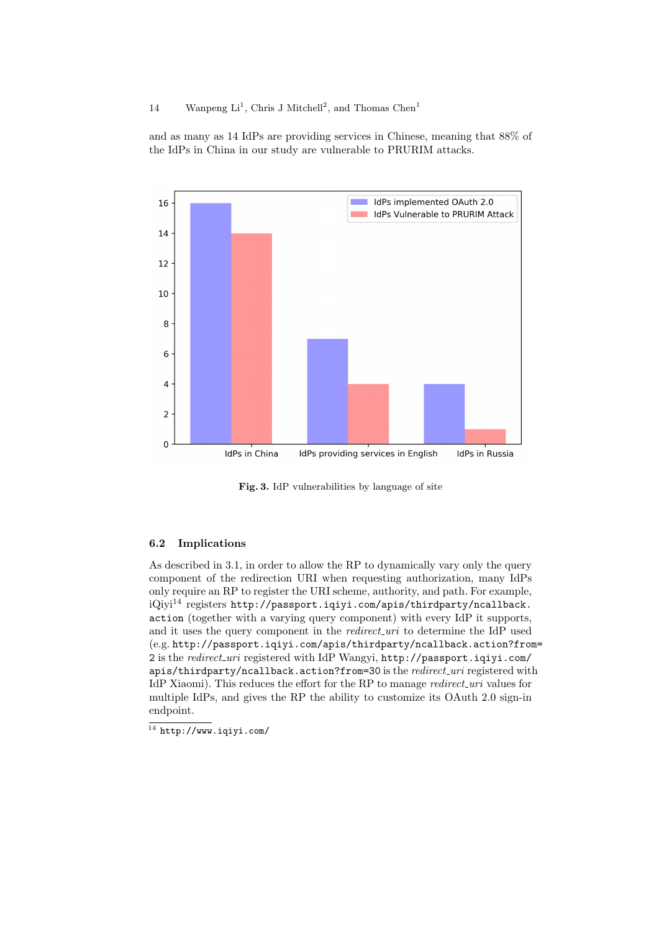and as many as 14 IdPs are providing services in Chinese, meaning that 88% of the IdPs in China in our study are vulnerable to PRURIM attacks.



Fig. 3. IdP vulnerabilities by language of site

#### 6.2 Implications

As described in 3.1, in order to allow the RP to dynamically vary only the query component of the redirection URI when requesting authorization, many IdPs only require an RP to register the URI scheme, authority, and path. For example, iQiyi<sup>14</sup> registers http://passport.iqiyi.com/apis/thirdparty/ncallback. action (together with a varying query component) with every IdP it supports, and it uses the query component in the *redirect uri* to determine the IdP used (e.g. http://passport.iqiyi.com/apis/thirdparty/ncallback.action?from= 2 is the redirect\_uri registered with IdP Wangyi, http://passport.iqiyi.com/ apis/thirdparty/ncallback.action?from=30 is the *redirect\_uri* registered with IdP Xiaomi). This reduces the effort for the RP to manage *redirect\_uri* values for multiple IdPs, and gives the RP the ability to customize its OAuth 2.0 sign-in endpoint.

 $\frac{14 \text{ http://www.iqiyi.com/}}{}$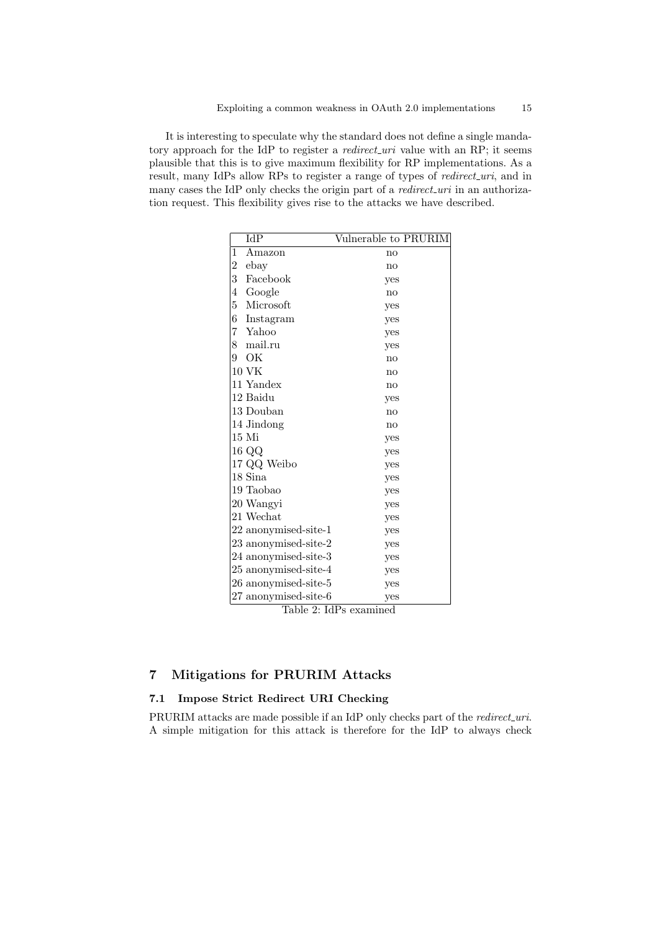It is interesting to speculate why the standard does not define a single mandatory approach for the IdP to register a *redirect\_uri* value with an RP; it seems plausible that this is to give maximum flexibility for RP implementations. As a result, many IdPs allow RPs to register a range of types of redirect\_uri, and in many cases the IdP only checks the origin part of a *redirect\_uri* in an authorization request. This flexibility gives rise to the attacks we have described.

|                | IdP                  | Vulnerable to PRURIM |  |
|----------------|----------------------|----------------------|--|
| $\mathbf{1}$   | Amazon               | no                   |  |
| $\overline{c}$ | ebay                 | no                   |  |
| 3              | Facebook             | yes                  |  |
| 4              | Google               | no                   |  |
| 5              | Microsoft            | yes                  |  |
| 6              | Instagram            | yes                  |  |
| 7              | Yahoo                | yes                  |  |
| 8              | mail.ru              | yes                  |  |
| 9              | OК                   | no                   |  |
|                | $10\;\mathrm{VK}$    | no                   |  |
|                | 11 Yandex            | no                   |  |
|                | 12 Baidu             | yes                  |  |
|                | 13 Douban            | no                   |  |
|                | 14 Jindong           | no                   |  |
|                | $15$ Mi              | yes                  |  |
|                | $16$ QQ              | yes                  |  |
|                | 17 QQ Weibo          | yes                  |  |
|                | 18 Sina              | yes                  |  |
|                | 19 Taobao            | yes                  |  |
|                | 20 Wangyi            | yes                  |  |
|                | $21$ Wechat          | yes                  |  |
|                | 22 anonymised-site-1 | yes                  |  |
|                | 23 anonymised-site-2 | yes                  |  |
|                | 24 anonymised-site-3 | yes                  |  |
|                | 25 anonymised-site-4 | yes                  |  |
|                | 26 anonymised-site-5 | yes                  |  |
|                | 27 anonymised-site-6 | yes<br>۰             |  |

Table 2: IdPs examined

# 7 Mitigations for PRURIM Attacks

# 7.1 Impose Strict Redirect URI Checking

PRURIM attacks are made possible if an IdP only checks part of the *redirect\_uri*. A simple mitigation for this attack is therefore for the IdP to always check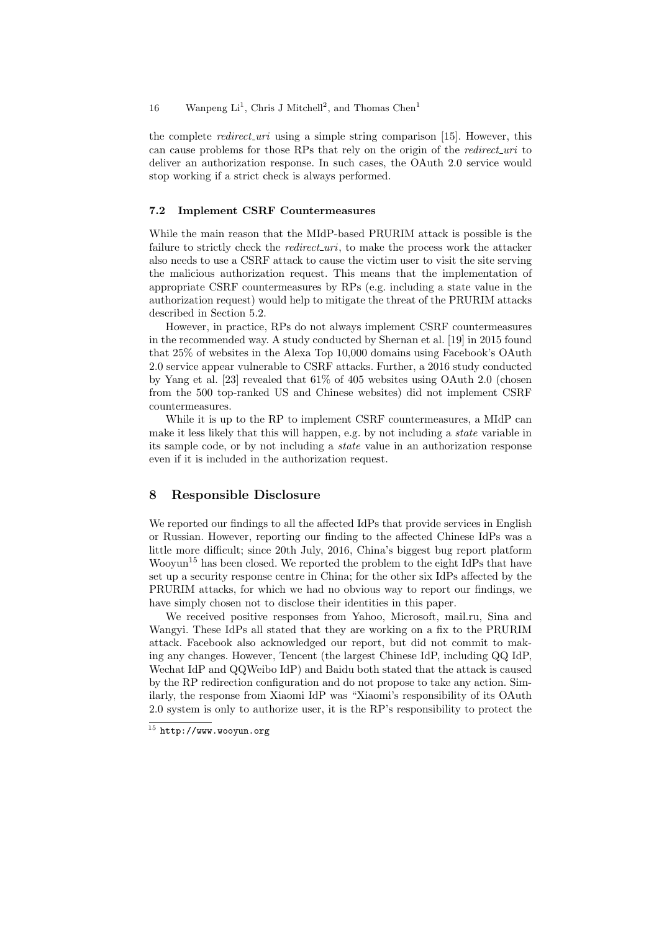the complete *redirect uri* using a simple string comparison [15]. However, this can cause problems for those RPs that rely on the origin of the *redirect uri* to deliver an authorization response. In such cases, the OAuth 2.0 service would stop working if a strict check is always performed.

#### 7.2 Implement CSRF Countermeasures

While the main reason that the MIdP-based PRURIM attack is possible is the failure to strictly check the *redirect\_uri*, to make the process work the attacker also needs to use a CSRF attack to cause the victim user to visit the site serving the malicious authorization request. This means that the implementation of appropriate CSRF countermeasures by RPs (e.g. including a state value in the authorization request) would help to mitigate the threat of the PRURIM attacks described in Section 5.2.

However, in practice, RPs do not always implement CSRF countermeasures in the recommended way. A study conducted by Shernan et al. [19] in 2015 found that 25% of websites in the Alexa Top 10,000 domains using Facebook's OAuth 2.0 service appear vulnerable to CSRF attacks. Further, a 2016 study conducted by Yang et al. [23] revealed that 61% of 405 websites using OAuth 2.0 (chosen from the 500 top-ranked US and Chinese websites) did not implement CSRF countermeasures.

While it is up to the RP to implement CSRF countermeasures, a MIdP can make it less likely that this will happen, e.g. by not including a state variable in its sample code, or by not including a state value in an authorization response even if it is included in the authorization request.

# 8 Responsible Disclosure

We reported our findings to all the affected IdPs that provide services in English or Russian. However, reporting our finding to the affected Chinese IdPs was a little more difficult; since 20th July, 2016, China's biggest bug report platform Wooyun<sup>15</sup> has been closed. We reported the problem to the eight IdPs that have set up a security response centre in China; for the other six IdPs affected by the PRURIM attacks, for which we had no obvious way to report our findings, we have simply chosen not to disclose their identities in this paper.

We received positive responses from Yahoo, Microsoft, mail.ru, Sina and Wangyi. These IdPs all stated that they are working on a fix to the PRURIM attack. Facebook also acknowledged our report, but did not commit to making any changes. However, Tencent (the largest Chinese IdP, including QQ IdP, Wechat IdP and QQWeibo IdP) and Baidu both stated that the attack is caused by the RP redirection configuration and do not propose to take any action. Similarly, the response from Xiaomi IdP was "Xiaomi's responsibility of its OAuth 2.0 system is only to authorize user, it is the RP's responsibility to protect the

<sup>15</sup> http://www.wooyun.org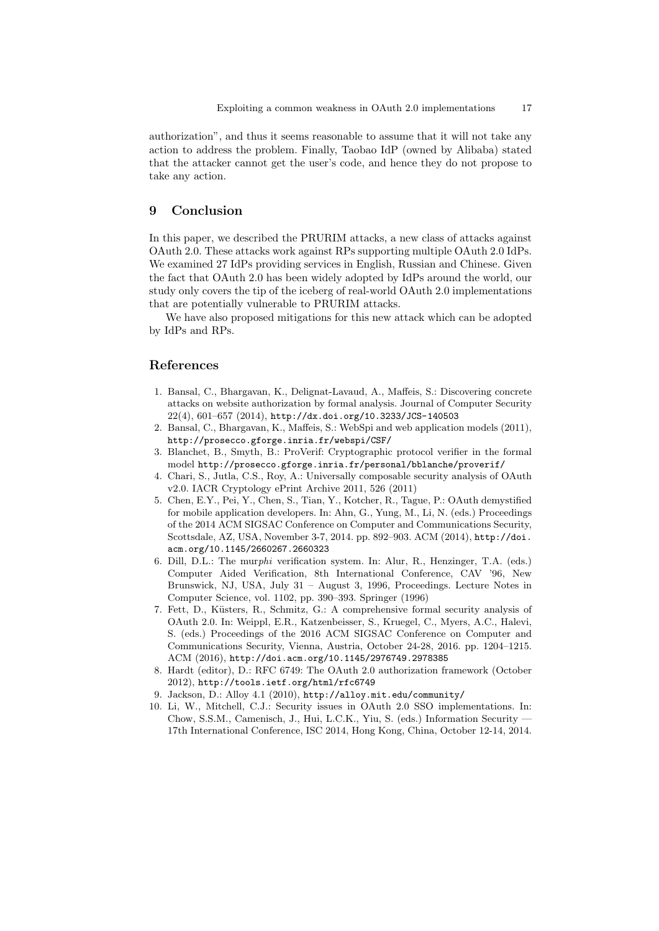authorization", and thus it seems reasonable to assume that it will not take any action to address the problem. Finally, Taobao IdP (owned by Alibaba) stated that the attacker cannot get the user's code, and hence they do not propose to take any action.

# 9 Conclusion

In this paper, we described the PRURIM attacks, a new class of attacks against OAuth 2.0. These attacks work against RPs supporting multiple OAuth 2.0 IdPs. We examined 27 IdPs providing services in English, Russian and Chinese. Given the fact that OAuth 2.0 has been widely adopted by IdPs around the world, our study only covers the tip of the iceberg of real-world OAuth 2.0 implementations that are potentially vulnerable to PRURIM attacks.

We have also proposed mitigations for this new attack which can be adopted by IdPs and RPs.

### References

- 1. Bansal, C., Bhargavan, K., Delignat-Lavaud, A., Maffeis, S.: Discovering concrete attacks on website authorization by formal analysis. Journal of Computer Security 22(4), 601–657 (2014), http://dx.doi.org/10.3233/JCS-140503
- 2. Bansal, C., Bhargavan, K., Maffeis, S.: WebSpi and web application models (2011), http://prosecco.gforge.inria.fr/webspi/CSF/
- 3. Blanchet, B., Smyth, B.: ProVerif: Cryptographic protocol verifier in the formal model http://prosecco.gforge.inria.fr/personal/bblanche/proverif/
- 4. Chari, S., Jutla, C.S., Roy, A.: Universally composable security analysis of OAuth v2.0. IACR Cryptology ePrint Archive 2011, 526 (2011)
- 5. Chen, E.Y., Pei, Y., Chen, S., Tian, Y., Kotcher, R., Tague, P.: OAuth demystified for mobile application developers. In: Ahn, G., Yung, M., Li, N. (eds.) Proceedings of the 2014 ACM SIGSAC Conference on Computer and Communications Security, Scottsdale, AZ, USA, November 3-7, 2014. pp. 892–903. ACM (2014), http://doi. acm.org/10.1145/2660267.2660323
- 6. Dill, D.L.: The murphi verification system. In: Alur, R., Henzinger, T.A. (eds.) Computer Aided Verification, 8th International Conference, CAV '96, New Brunswick, NJ, USA, July 31 – August 3, 1996, Proceedings. Lecture Notes in Computer Science, vol. 1102, pp. 390–393. Springer (1996)
- 7. Fett, D., Küsters, R., Schmitz, G.: A comprehensive formal security analysis of OAuth 2.0. In: Weippl, E.R., Katzenbeisser, S., Kruegel, C., Myers, A.C., Halevi, S. (eds.) Proceedings of the 2016 ACM SIGSAC Conference on Computer and Communications Security, Vienna, Austria, October 24-28, 2016. pp. 1204–1215. ACM (2016), http://doi.acm.org/10.1145/2976749.2978385
- 8. Hardt (editor), D.: RFC 6749: The OAuth 2.0 authorization framework (October 2012), http://tools.ietf.org/html/rfc6749
- 9. Jackson, D.: Alloy 4.1 (2010), http://alloy.mit.edu/community/
- 10. Li, W., Mitchell, C.J.: Security issues in OAuth 2.0 SSO implementations. In: Chow, S.S.M., Camenisch, J., Hui, L.C.K., Yiu, S. (eds.) Information Security — 17th International Conference, ISC 2014, Hong Kong, China, October 12-14, 2014.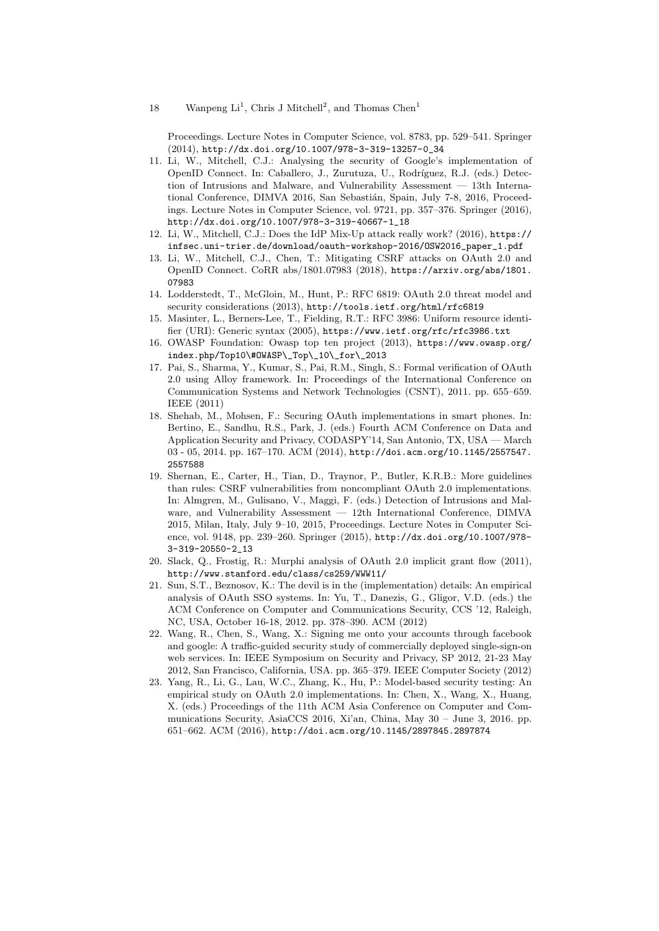Proceedings. Lecture Notes in Computer Science, vol. 8783, pp. 529–541. Springer (2014), http://dx.doi.org/10.1007/978-3-319-13257-0\_34

- 11. Li, W., Mitchell, C.J.: Analysing the security of Google's implementation of OpenID Connect. In: Caballero, J., Zurutuza, U., Rodríguez, R.J. (eds.) Detection of Intrusions and Malware, and Vulnerability Assessment — 13th International Conference, DIMVA 2016, San Sebastián, Spain, July 7-8, 2016, Proceedings. Lecture Notes in Computer Science, vol. 9721, pp. 357–376. Springer (2016), http://dx.doi.org/10.1007/978-3-319-40667-1\_18
- 12. Li, W., Mitchell, C.J.: Does the IdP Mix-Up attack really work? (2016), https:// infsec.uni-trier.de/download/oauth-workshop-2016/OSW2016\_paper\_1.pdf
- 13. Li, W., Mitchell, C.J., Chen, T.: Mitigating CSRF attacks on OAuth 2.0 and OpenID Connect. CoRR abs/1801.07983 (2018), https://arxiv.org/abs/1801. 07983
- 14. Lodderstedt, T., McGloin, M., Hunt, P.: RFC 6819: OAuth 2.0 threat model and security considerations (2013), http://tools.ietf.org/html/rfc6819
- 15. Masinter, L., Berners-Lee, T., Fielding, R.T.: RFC 3986: Uniform resource identifier (URI): Generic syntax (2005), https://www.ietf.org/rfc/rfc3986.txt
- 16. OWASP Foundation: Owasp top ten project (2013), https://www.owasp.org/ index.php/Top10\#OWASP\\_Top\\_10\\_for\\_2013
- 17. Pai, S., Sharma, Y., Kumar, S., Pai, R.M., Singh, S.: Formal verification of OAuth 2.0 using Alloy framework. In: Proceedings of the International Conference on Communication Systems and Network Technologies (CSNT), 2011. pp. 655–659. IEEE (2011)
- 18. Shehab, M., Mohsen, F.: Securing OAuth implementations in smart phones. In: Bertino, E., Sandhu, R.S., Park, J. (eds.) Fourth ACM Conference on Data and Application Security and Privacy, CODASPY'14, San Antonio, TX, USA — March 03 - 05, 2014. pp. 167–170. ACM (2014), http://doi.acm.org/10.1145/2557547. 2557588
- 19. Shernan, E., Carter, H., Tian, D., Traynor, P., Butler, K.R.B.: More guidelines than rules: CSRF vulnerabilities from noncompliant OAuth 2.0 implementations. In: Almgren, M., Gulisano, V., Maggi, F. (eds.) Detection of Intrusions and Malware, and Vulnerability Assessment — 12th International Conference, DIMVA 2015, Milan, Italy, July 9–10, 2015, Proceedings. Lecture Notes in Computer Science, vol. 9148, pp. 239–260. Springer (2015), http://dx.doi.org/10.1007/978- 3-319-20550-2\_13
- 20. Slack, Q., Frostig, R.: Murphi analysis of OAuth 2.0 implicit grant flow (2011), http://www.stanford.edu/class/cs259/WWW11/
- 21. Sun, S.T., Beznosov, K.: The devil is in the (implementation) details: An empirical analysis of OAuth SSO systems. In: Yu, T., Danezis, G., Gligor, V.D. (eds.) the ACM Conference on Computer and Communications Security, CCS '12, Raleigh, NC, USA, October 16-18, 2012. pp. 378–390. ACM (2012)
- 22. Wang, R., Chen, S., Wang, X.: Signing me onto your accounts through facebook and google: A traffic-guided security study of commercially deployed single-sign-on web services. In: IEEE Symposium on Security and Privacy, SP 2012, 21-23 May 2012, San Francisco, California, USA. pp. 365–379. IEEE Computer Society (2012)
- 23. Yang, R., Li, G., Lau, W.C., Zhang, K., Hu, P.: Model-based security testing: An empirical study on OAuth 2.0 implementations. In: Chen, X., Wang, X., Huang, X. (eds.) Proceedings of the 11th ACM Asia Conference on Computer and Communications Security, AsiaCCS 2016, Xi'an, China, May 30 – June 3, 2016. pp. 651–662. ACM (2016), http://doi.acm.org/10.1145/2897845.2897874